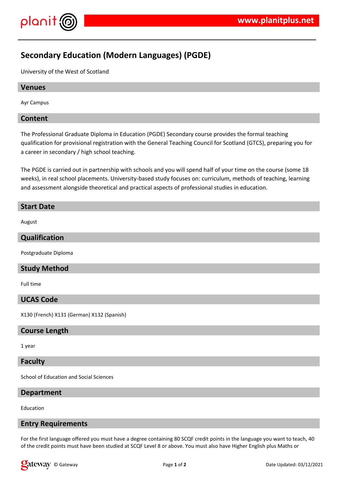

# **Secondary Education (Modern Languages) (PGDE)**

University of the West of Scotland

## **Venues**

Ayr Campus

## **Content**

The Professional Graduate Diploma in Education (PGDE) Secondary course provides the formal teaching qualification for provisional registration with the General Teaching Council for Scotland (GTCS), preparing you for a career in secondary / high school teaching.

The PGDE is carried out in partnership with schools and you will spend half of your time on the course (some 18 weeks), in real school placements. University-based study focuses on: curriculum, methods of teaching, learning and assessment alongside theoretical and practical aspects of professional studies in education.

## **Start Date**

August

## **Qualification**

Postgraduate Diploma

## **Study Method**

Full time

#### **UCAS Code**

X130 (French) X131 (German) X132 (Spanish)

## **Course Length**

1 year

#### **Faculty**

School of Education and Social Sciences

#### **Department**

Education

#### **Entry Requirements**

For the first language offered you must have a degree containing 80 SCQF credit points in the language you want to teach, 40 of the credit points must have been studied at SCQF Level 8 or above. You must also have Higher English plus Maths or